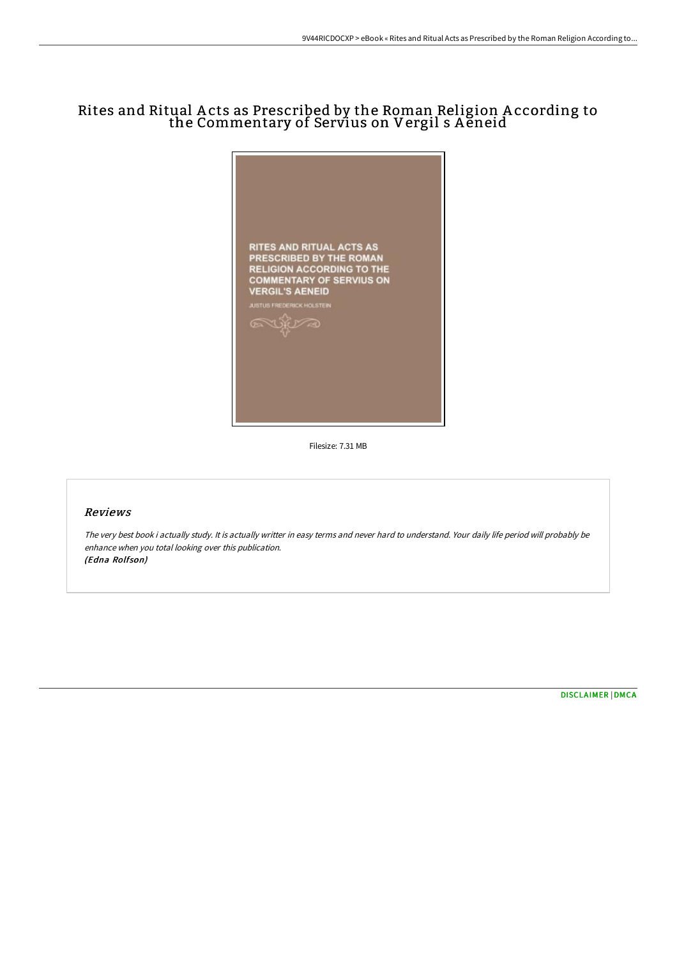# Rites and Ritual A cts as Prescribed by the Roman Religion A ccording to the Commentary of Servius on Vergil s Aĕneid



Filesize: 7.31 MB

### Reviews

The very best book i actually study. It is actually writter in easy terms and never hard to understand. Your daily life period will probably be enhance when you total looking over this publication. (Edna Rolfson)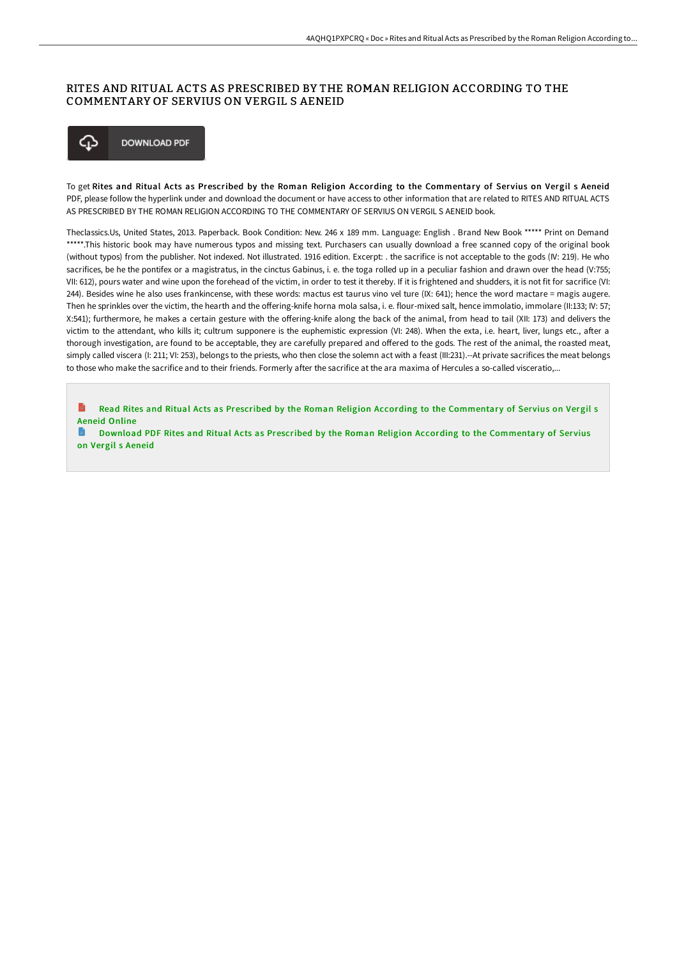### RITES AND RITUAL ACTS AS PRESCRIBED BY THE ROMAN RELIGION ACCORDING TO THE COMMENTARY OF SERVIUS ON VERGIL S AENEID



To get Rites and Ritual Acts as Prescribed by the Roman Religion According to the Commentary of Servius on Vergil s Aeneid PDF, please follow the hyperlink under and download the document or have access to other information that are related to RITES AND RITUAL ACTS AS PRESCRIBED BY THE ROMAN RELIGION ACCORDING TO THE COMMENTARY OF SERVIUS ON VERGIL S AENEID book.

Theclassics.Us, United States, 2013. Paperback. Book Condition: New. 246 x 189 mm. Language: English . Brand New Book \*\*\*\*\* Print on Demand \*\*\*\*\*.This historic book may have numerous typos and missing text. Purchasers can usually download a free scanned copy of the original book (without typos) from the publisher. Not indexed. Not illustrated. 1916 edition. Excerpt: . the sacrifice is not acceptable to the gods (IV: 219). He who sacrifices, be he the pontifex or a magistratus, in the cinctus Gabinus, i. e. the toga rolled up in a peculiar fashion and drawn over the head (V:755; VII: 612), pours water and wine upon the forehead of the victim, in order to test it thereby. If it is frightened and shudders, it is not fit for sacrifice (VI: 244). Besides wine he also uses frankincense, with these words: mactus est taurus vino vel ture (IX: 641); hence the word mactare = magis augere. Then he sprinkles over the victim, the hearth and the offering-knife horna mola salsa, i. e. flour-mixed salt, hence immolatio, immolare (II:133; IV: 57; X:541); furthermore, he makes a certain gesture with the oFering-knife along the back of the animal, from head to tail (XII: 173) and delivers the victim to the attendant, who kills it; cultrum supponere is the euphemistic expression (VI: 248). When the exta, i.e. heart, liver, lungs etc., after a thorough investigation, are found to be acceptable, they are carefully prepared and offered to the gods. The rest of the animal, the roasted meat, simply called viscera (I: 211; VI: 253), belongs to the priests, who then close the solemn act with a feast (III:231).--At private sacrifices the meat belongs to those who make the sacrifice and to their friends. Formerly after the sacrifice at the ara maxima of Hercules a so-called visceratio,...

Read Rites and Ritual Acts as Prescribed by the Roman Religion According to the [Commentar](http://techno-pub.tech/rites-and-ritual-acts-as-prescribed-by-the-roman.html)y of Servius on Vergil s Aeneid Online

Download PDF Rites and Ritual Acts as Prescribed by the Roman Religion According to the [Commentar](http://techno-pub.tech/rites-and-ritual-acts-as-prescribed-by-the-roman.html)y of Servius on Vergil s Aeneid